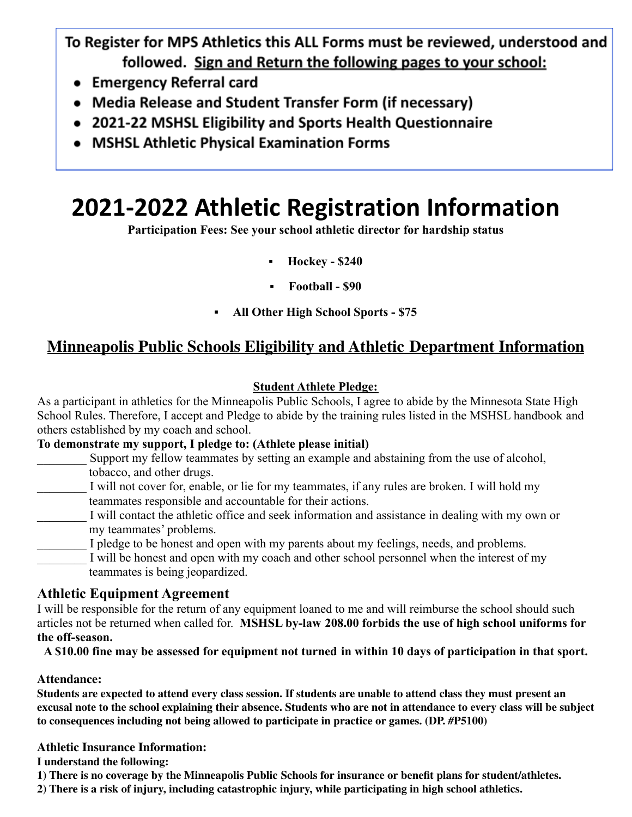To Register for MPS Athletics this ALL Forms must be reviewed, understood and followed. Sign and Return the following pages to your school:

- Emergency Referral card
- Media Release and Student Transfer Form (if necessary)
- 2021-22 MSHSL Eligibility and Sports Health Questionnaire
- MSHSL Athletic Physical Examination Forms

# **2021-2022 Athletic Registration Information**

**Participation Fees: See your school athletic director for hardship status**

- **Hockey \$240**
- **Football \$90**
- **All Other High School Sports \$75**

# **Minneapolis Public Schools Eligibility and Athletic Department Information**

## **Student Athlete Pledge:**

As a participant in athletics for the Minneapolis Public Schools, I agree to abide by the Minnesota State High School Rules. Therefore, I accept and Pledge to abide by the training rules listed in the MSHSL handbook and others established by my coach and school.

#### **To demonstrate my support, I pledge to: (Athlete please initial)**

| Support my fellow teammates by setting an example and abstaining from the use of alcohol,        |
|--------------------------------------------------------------------------------------------------|
| tobacco, and other drugs.                                                                        |
| I will not cover for, enable, or lie for my teammates, if any rules are broken. I will hold my   |
| teammates responsible and accountable for their actions.                                         |
| I will contact the athletic office and seek information and assistance in dealing with my own or |
| my teammates' problems.                                                                          |
| I pledge to be honest and open with my parents about my feelings, needs, and problems.           |
| L will be honest and open with my coach and other school personnel when the interest of my       |

I will be honest and open with my coach and other school personnel when the interest of my teammates is being jeopardized.

## **Athletic Equipment Agreement**

I will be responsible for the return of any equipment loaned to me and will reimburse the school should such articles not be returned when called for. **MSHSL by-law 208.00 forbids the use of high school uniforms for the off-season.**

**A \$10.00 fine may be assessed for equipment not turned in within 10 days of participation in that sport.**

## **Attendance:**

Students are expected to attend every class session. If students are unable to attend class they must present an excusal note to the school explaining their absence. Students who are not in attendance to every class will be subject **to consequences including not being allowed to participate in practice or games. (DP. #P5100)**

## **Athletic Insurance Information:**

**I understand the following:**

- 1) There is no coverage by the Minneapolis Public Schools for insurance or benefit plans for student/athletes.
- **2) There is a risk of injury, including catastrophic injury, while participating in high school athletics.**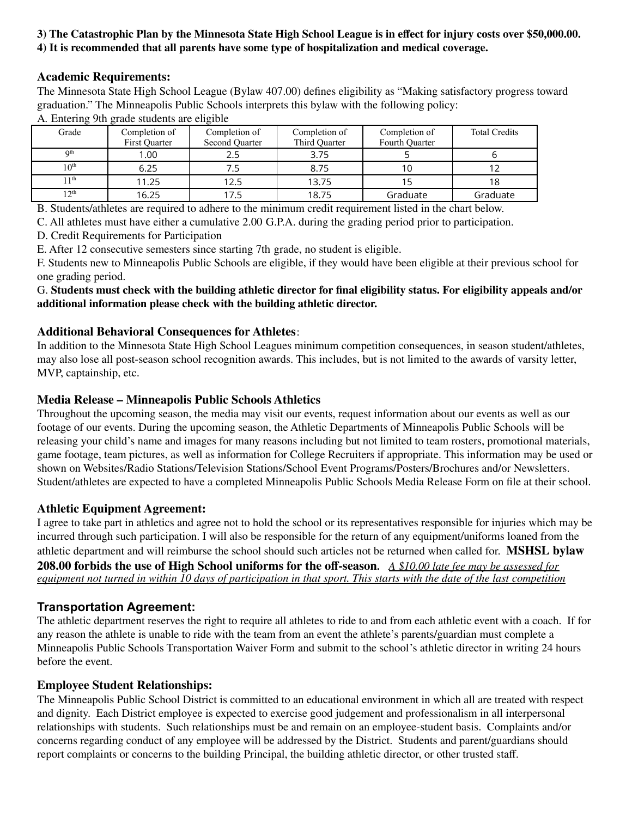#### 3) The Catastrophic Plan by the Minnesota State High School League is in effect for injury costs over \$50,000.00. **4) It is recommended that all parents have some type of hospitalization and medical coverage.**

#### **Academic Requirements:**

The Minnesota State High School League (Bylaw 407.00) defines eligibility as "Making satisfactory progress toward graduation." The Minneapolis Public Schools interprets this bylaw with the following policy:

| Grade             | Completion of | Completion of  | Completion of | Completion of  | <b>Total Credits</b> |
|-------------------|---------------|----------------|---------------|----------------|----------------------|
|                   | First Ouarter | Second Ouarter | Third Ouarter | Fourth Ouarter |                      |
| Q <sup>th</sup>   | 1.00          |                | 3.75          |                |                      |
| 10 <sup>th</sup>  | 6.25          |                | 8.75          |                |                      |
| l 1 <sup>th</sup> | 11.25         | 12.5           | 13.75         |                | 18                   |
| 12 <sup>th</sup>  | 16.25         | 17.5           | 18.75         | Graduate       | Graduate             |

A*.* Entering 9th grade students are eligible

B. Students/athletes are required to adhere to the minimum credit requirement listed in the chart below.

C. All athletes must have either a cumulative 2.00 G.P.A. during the grading period prior to participation.

D. Credit Requirements for Participation

E. After 12 consecutive semesters since starting 7th grade, no student is eligible.

F. Students new to Minneapolis Public Schools are eligible, if they would have been eligible at their previous school for one grading period.

#### G. Students must check with the building athletic director for final eligibility status. For eligibility appeals and/or **additional information please check with the building athletic director.**

#### **Additional Behavioral Consequences for Athletes**:

In addition to the Minnesota State High School Leagues minimum competition consequences, in season student/athletes, may also lose all post-season school recognition awards. This includes, but is not limited to the awards of varsity letter, MVP, captainship, etc.

#### **Media Release – Minneapolis Public Schools Athletics**

Throughout the upcoming season, the media may visit our events, request information about our events as well as our footage of our events. During the upcoming season, the Athletic Departments of Minneapolis Public Schools will be releasing your child's name and images for many reasons including but not limited to team rosters, promotional materials, game footage, team pictures, as well as information for College Recruiters if appropriate. This information may be used or shown on Websites/Radio Stations/Television Stations/School Event Programs/Posters/Brochures and/or Newsletters. Student/athletes are expected to have a completed Minneapolis Public Schools Media Release Form on file at their school.

#### **Athletic Equipment Agreement:**

I agree to take part in athletics and agree not to hold the school or its representatives responsible for injuries which may be incurred through such participation. I will also be responsible for the return of any equipment/uniforms loaned from the athletic department and will reimburse the school should such articles not be returned when called for. **MSHSL bylaw** 208.00 forbids the use of High School uniforms for the off-season. A \$10.00 late fee may be assessed for equipment not turned in within  $10$  days of participation in that sport. This starts with the date of the last competition

## **Transportation Agreement:**

The athletic department reserves the right to require all athletes to ride to and from each athletic event with a coach. If for any reason the athlete is unable to ride with the team from an event the athlete's parents/guardian must complete a Minneapolis Public Schools Transportation Waiver Form and submit to the school's athletic director in writing 24 hours before the event.

#### **Employee Student Relationships:**

The Minneapolis Public School District is committed to an educational environment in which all are treated with respect and dignity. Each District employee is expected to exercise good judgement and professionalism in all interpersonal relationships with students. Such relationships must be and remain on an employee-student basis. Complaints and/or concerns regarding conduct of any employee will be addressed by the District. Students and parent/guardians should report complaints or concerns to the building Principal, the building athletic director, or other trusted staff.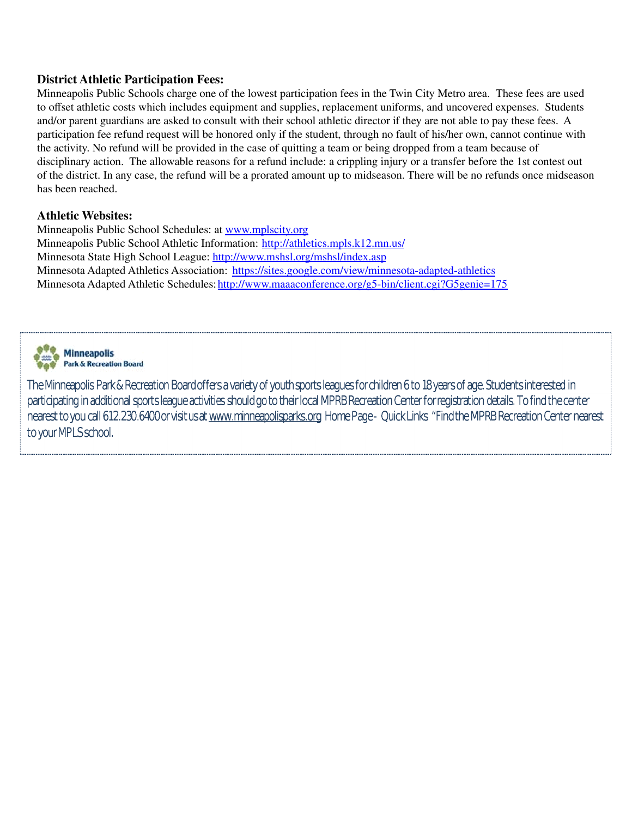#### **District Athletic Participation Fees:**

Minneapolis Public Schools charge one of the lowest participation fees in the Twin City Metro area. These fees are used to offset athletic costs which includes equipment and supplies, replacement uniforms, and uncovered expenses. Students and/or parent guardians are asked to consult with their school athletic director if they are not able to pay these fees. A participation fee refund request will be honored only if the student, through no fault of his/her own, cannot continue with the activity. No refund will be provided in the case of quitting a team or being dropped from a team because of disciplinary action. The allowable reasons for a refund include: a crippling injury or a transfer before the 1st contest out of the district. In any case, the refund will be a prorated amount up to midseason. There will be no refunds once midseason has been reached.

#### **Athletic Websites:**

Minneapolis Public School Schedules: at [www.mplscity.org](http://www.mplscity.org) Minneapolis Public School Athletic Information: <http://athletics.mpls.k12.mn.us/> Minnesota State High School League: <http://www.mshsl.org/mshsl/index.asp> Minnesota Adapted Athletics Association: <https://sites.google.com/view/minnesota-adapted-athletics> Minnesota Adapted Athletic Schedules: <http://www.maaaconference.org/g5-bin/client.cgi?G5genie=175>



The Minneapolis Park& Recreation Board offers a variety of youth sports leagues for children 6 to 18 years of age. Students interested in participating in additional sports league activities should go to their local MPRB Recreation Center for registration details. To find the center nearest to you call 612.230.6400 or visit us at www.minneapolisparks.org Home Page- Quick Links "Find the MPRB Recreation Center nearest to your MPLS school.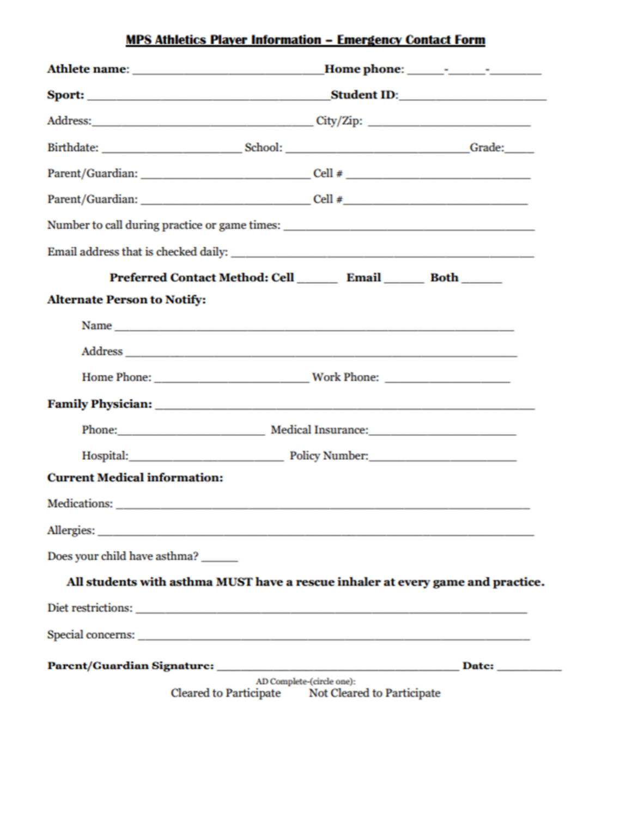## **MPS Athletics Player Information - Emergency Contact Form**

|                                     | Number to call during practice or game times: ___________________________________ |       |  |
|-------------------------------------|-----------------------------------------------------------------------------------|-------|--|
|                                     |                                                                                   |       |  |
|                                     | Preferred Contact Method: Cell ________ Email _______ Both ______                 |       |  |
| <b>Alternate Person to Notify:</b>  |                                                                                   |       |  |
|                                     |                                                                                   |       |  |
|                                     |                                                                                   |       |  |
|                                     |                                                                                   |       |  |
|                                     |                                                                                   |       |  |
|                                     |                                                                                   |       |  |
|                                     | Hospital: Policy Number: Policy Number:                                           |       |  |
| <b>Current Medical information:</b> |                                                                                   |       |  |
|                                     |                                                                                   |       |  |
|                                     |                                                                                   |       |  |
| Does your child have asthma?        |                                                                                   |       |  |
|                                     | All students with asthma MUST have a rescue inhaler at every game and practice.   |       |  |
|                                     |                                                                                   |       |  |
|                                     |                                                                                   |       |  |
|                                     |                                                                                   | Date: |  |
|                                     | AD Complete-(circle one):<br>Cleared to Participate Not Cleared to Participate    |       |  |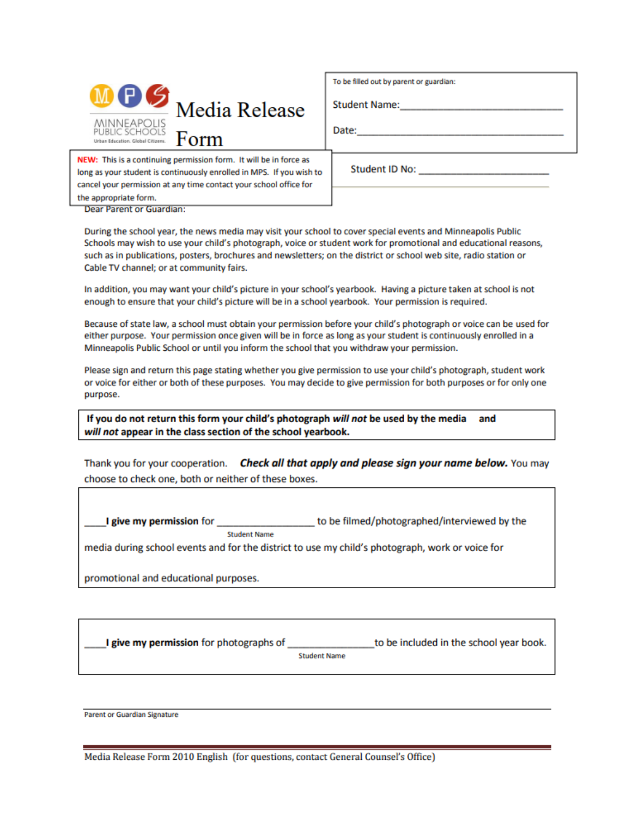

To be filled out by parent or guardian:

Student Name: The Contract of the Contract of the Contract of the Contract of the Contract of the Contract of

Date:

NEW: This is a continuing permission form. It will be in force as long as your student is continuously enrolled in MPS. If you wish to cancel your permission at any time contact your school office for the appropriate form.

| Student ID No: |  |  |  |
|----------------|--|--|--|
|                |  |  |  |

**Dear Parent or Guardian:** 

During the school year, the news media may visit your school to cover special events and Minneapolis Public Schools may wish to use your child's photograph, voice or student work for promotional and educational reasons, such as in publications, posters, brochures and newsletters; on the district or school web site, radio station or Cable TV channel; or at community fairs.

In addition, you may want your child's picture in your school's yearbook. Having a picture taken at school is not enough to ensure that your child's picture will be in a school yearbook. Your permission is required.

Because of state law, a school must obtain your permission before your child's photograph or voice can be used for either purpose. Your permission once given will be in force as long as your student is continuously enrolled in a Minneapolis Public School or until you inform the school that you withdraw your permission.

Please sign and return this page stating whether you give permission to use your child's photograph, student work or voice for either or both of these purposes. You may decide to give permission for both purposes or for only one purpose.

If you do not return this form your child's photograph will not be used by the media and will not appear in the class section of the school yearbook.

Thank you for your cooperation. **Check all that apply and please sign your name below.** You may choose to check one, both or neither of these boxes.

| I give my permission for | to be filmed/photographed/interviewed by the |
|--------------------------|----------------------------------------------|
| <b>Student Name</b>      |                                              |

media during school events and for the district to use my child's photograph, work or voice for

promotional and educational purposes.

| I give my permission for photographs of |                     | to be included in the school year book. |
|-----------------------------------------|---------------------|-----------------------------------------|
|                                         | <b>Student Name</b> |                                         |

**Parent or Guardian Signature**